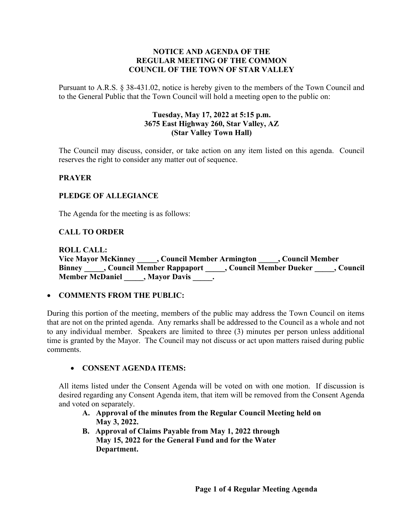## **NOTICE AND AGENDA OF THE REGULAR MEETING OF THE COMMON COUNCIL OF THE TOWN OF STAR VALLEY**

Pursuant to A.R.S. § 38-431.02, notice is hereby given to the members of the Town Council and to the General Public that the Town Council will hold a meeting open to the public on:

## **Tuesday, May 17, 2022 at 5:15 p.m. 3675 East Highway 260, Star Valley, AZ (Star Valley Town Hall)**

The Council may discuss, consider, or take action on any item listed on this agenda. Council reserves the right to consider any matter out of sequence.

## **PRAYER**

## **PLEDGE OF ALLEGIANCE**

The Agenda for the meeting is as follows:

## **CALL TO ORDER**

**ROLL CALL: Vice Mayor McKinney \_\_\_\_\_, Council Member Armington \_\_\_\_\_, Council Member Binney \_\_\_\_\_, Council Member Rappaport \_\_\_\_\_, Council Member Dueker \_\_\_\_\_, Council Member McDaniel \_\_\_\_\_, Mayor Davis \_\_\_\_\_.**

#### • **COMMENTS FROM THE PUBLIC:**

During this portion of the meeting, members of the public may address the Town Council on items that are not on the printed agenda. Any remarks shall be addressed to the Council as a whole and not to any individual member. Speakers are limited to three (3) minutes per person unless additional time is granted by the Mayor. The Council may not discuss or act upon matters raised during public comments.

#### • **CONSENT AGENDA ITEMS:**

All items listed under the Consent Agenda will be voted on with one motion. If discussion is desired regarding any Consent Agenda item, that item will be removed from the Consent Agenda and voted on separately.

- **A. Approval of the minutes from the Regular Council Meeting held on May 3, 2022.**
- **B. Approval of Claims Payable from May 1, 2022 through May 15, 2022 for the General Fund and for the Water Department.**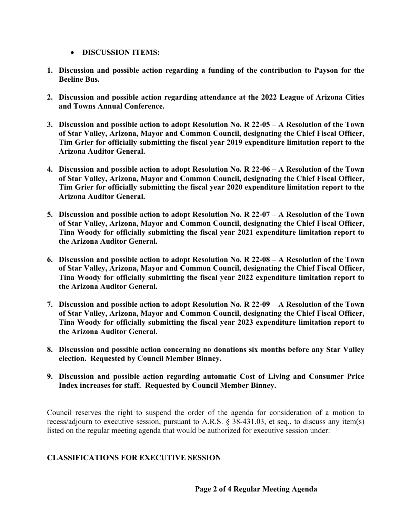- **DISCUSSION ITEMS:**
- **1. Discussion and possible action regarding a funding of the contribution to Payson for the Beeline Bus.**
- **2. Discussion and possible action regarding attendance at the 2022 League of Arizona Cities and Towns Annual Conference.**
- **3. Discussion and possible action to adopt Resolution No. R 22-05 – A Resolution of the Town of Star Valley, Arizona, Mayor and Common Council, designating the Chief Fiscal Officer, Tim Grier for officially submitting the fiscal year 2019 expenditure limitation report to the Arizona Auditor General.**
- **4. Discussion and possible action to adopt Resolution No. R 22-06 – A Resolution of the Town of Star Valley, Arizona, Mayor and Common Council, designating the Chief Fiscal Officer, Tim Grier for officially submitting the fiscal year 2020 expenditure limitation report to the Arizona Auditor General.**
- **5. Discussion and possible action to adopt Resolution No. R 22-07 – A Resolution of the Town of Star Valley, Arizona, Mayor and Common Council, designating the Chief Fiscal Officer, Tina Woody for officially submitting the fiscal year 2021 expenditure limitation report to the Arizona Auditor General.**
- **6. Discussion and possible action to adopt Resolution No. R 22-08 – A Resolution of the Town of Star Valley, Arizona, Mayor and Common Council, designating the Chief Fiscal Officer, Tina Woody for officially submitting the fiscal year 2022 expenditure limitation report to the Arizona Auditor General.**
- **7. Discussion and possible action to adopt Resolution No. R 22-09 – A Resolution of the Town of Star Valley, Arizona, Mayor and Common Council, designating the Chief Fiscal Officer, Tina Woody for officially submitting the fiscal year 2023 expenditure limitation report to the Arizona Auditor General.**
- **8. Discussion and possible action concerning no donations six months before any Star Valley election. Requested by Council Member Binney.**
- **9. Discussion and possible action regarding automatic Cost of Living and Consumer Price Index increases for staff. Requested by Council Member Binney.**

Council reserves the right to suspend the order of the agenda for consideration of a motion to recess/adjourn to executive session, pursuant to A.R.S. § 38-431.03, et seq., to discuss any item(s) listed on the regular meeting agenda that would be authorized for executive session under:

## **CLASSIFICATIONS FOR EXECUTIVE SESSION**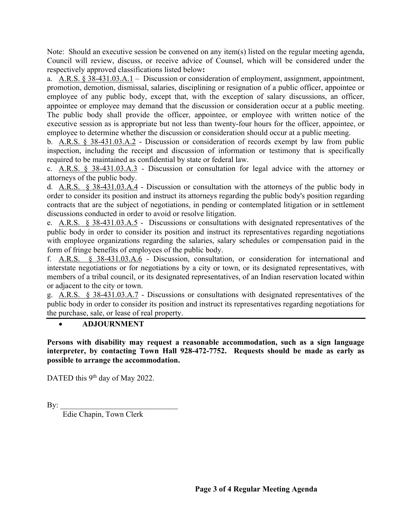Note: Should an executive session be convened on any item(s) listed on the regular meeting agenda, Council will review, discuss, or receive advice of Counsel, which will be considered under the respectively approved classifications listed below**:**

a. A.R.S. § 38-431.03.A.1 – Discussion or consideration of employment, assignment, appointment, promotion, demotion, dismissal, salaries, disciplining or resignation of a public officer, appointee or employee of any public body, except that, with the exception of salary discussions, an officer, appointee or employee may demand that the discussion or consideration occur at a public meeting. The public body shall provide the officer, appointee, or employee with written notice of the executive session as is appropriate but not less than twenty-four hours for the officer, appointee, or employee to determine whether the discussion or consideration should occur at a public meeting.

b. A.R.S. § 38-431.03.A.2 - Discussion or consideration of records exempt by law from public inspection, including the receipt and discussion of information or testimony that is specifically required to be maintained as confidential by state or federal law.

c. A.R.S.  $\frac{8}{38-431.03.A.3}$  - Discussion or consultation for legal advice with the attorney or attorneys of the public body.

d. A.R.S. § 38-431.03.A.4 - Discussion or consultation with the attorneys of the public body in order to consider its position and instruct its attorneys regarding the public body's position regarding contracts that are the subject of negotiations, in pending or contemplated litigation or in settlement discussions conducted in order to avoid or resolve litigation.

e. A.R.S. § 38-431.03.A.5 - Discussions or consultations with designated representatives of the public body in order to consider its position and instruct its representatives regarding negotiations with employee organizations regarding the salaries, salary schedules or compensation paid in the form of fringe benefits of employees of the public body.

f. A.R.S. § 38-431.03.A.6 - Discussion, consultation, or consideration for international and interstate negotiations or for negotiations by a city or town, or its designated representatives, with members of a tribal council, or its designated representatives, of an Indian reservation located within or adjacent to the city or town.

g. A.R.S. § 38-431.03.A.7 - Discussions or consultations with designated representatives of the public body in order to consider its position and instruct its representatives regarding negotiations for the purchase, sale, or lease of real property.

# • **ADJOURNMENT**

**Persons with disability may request a reasonable accommodation, such as a sign language interpreter, by contacting Town Hall 928-472-7752. Requests should be made as early as possible to arrange the accommodation.**

DATED this 9<sup>th</sup> day of May 2022.

 $\mathbf{By:}$ 

Edie Chapin, Town Clerk